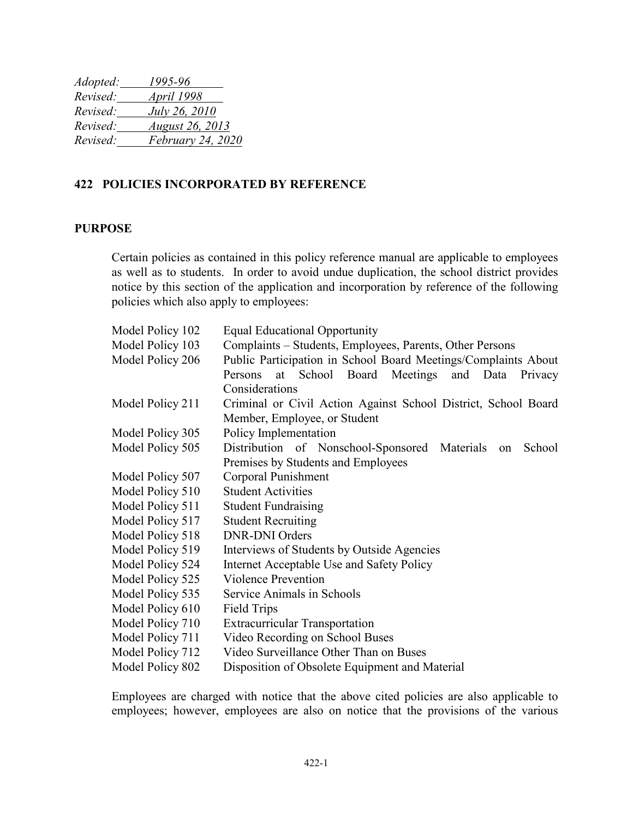| Adopted: | 1995-96                  |
|----------|--------------------------|
| Revised: | <i>April 1998</i>        |
| Revised: | July 26, 2010            |
| Revised: | <b>August 26, 2013</b>   |
| Revised: | <i>February 24, 2020</i> |

## **422 POLICIES INCORPORATED BY REFERENCE**

## **PURPOSE**

Certain policies as contained in this policy reference manual are applicable to employees as well as to students. In order to avoid undue duplication, the school district provides notice by this section of the application and incorporation by reference of the following policies which also apply to employees:

| Model Policy 102 | <b>Equal Educational Opportunity</b>                           |
|------------------|----------------------------------------------------------------|
| Model Policy 103 | Complaints – Students, Employees, Parents, Other Persons       |
| Model Policy 206 | Public Participation in School Board Meetings/Complaints About |
|                  | at School Board Meetings and Data<br>Persons<br>Privacy        |
|                  | Considerations                                                 |
| Model Policy 211 | Criminal or Civil Action Against School District, School Board |
|                  | Member, Employee, or Student                                   |
| Model Policy 305 | Policy Implementation                                          |
| Model Policy 505 | Distribution of Nonschool-Sponsored Materials<br>School<br>on  |
|                  | Premises by Students and Employees                             |
| Model Policy 507 | Corporal Punishment                                            |
| Model Policy 510 | <b>Student Activities</b>                                      |
| Model Policy 511 | <b>Student Fundraising</b>                                     |
| Model Policy 517 | <b>Student Recruiting</b>                                      |
| Model Policy 518 | <b>DNR-DNI Orders</b>                                          |
| Model Policy 519 | Interviews of Students by Outside Agencies                     |
| Model Policy 524 | Internet Acceptable Use and Safety Policy                      |
| Model Policy 525 | <b>Violence Prevention</b>                                     |
| Model Policy 535 | Service Animals in Schools                                     |
| Model Policy 610 | Field Trips                                                    |
| Model Policy 710 | <b>Extracurricular Transportation</b>                          |
| Model Policy 711 | Video Recording on School Buses                                |
| Model Policy 712 | Video Surveillance Other Than on Buses                         |
| Model Policy 802 | Disposition of Obsolete Equipment and Material                 |

Employees are charged with notice that the above cited policies are also applicable to employees; however, employees are also on notice that the provisions of the various